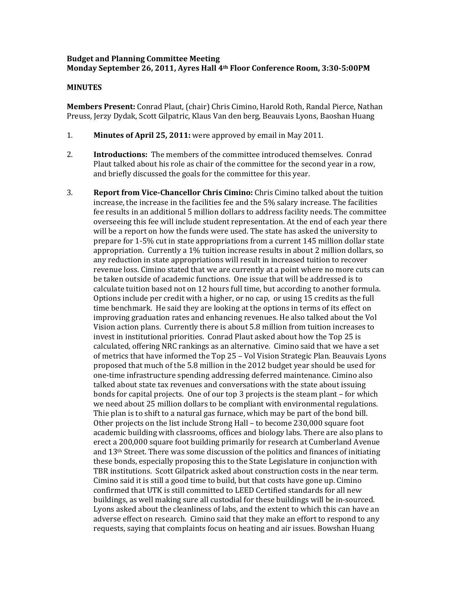## **Budget and Planning Committee Meeting Monday September 26, 2011, Ayres Hall 4th Floor Conference Room, 3:30‐5:00PM**

## **MINUTES**

**Members Present:** Conrad Plaut, (chair) Chris Cimino, Harold Roth, Randal Pierce, Nathan Preuss, Jerzy Dydak, Scott Gilpatric, Klaus Van den berg, Beauvais Lyons, Baoshan Huang

- 1. **Minutes of April 25, 2011:** were approved by email in May 2011.
- 2. **Introductions:** The members of the committee introduced themselves. Conrad Plaut talked about his role as chair of the committee for the second year in a row, and briefly discussed the goals for the committee for this year.
- 3. **Report from Vice‐Chancellor Chris Cimino:** Chris Cimino talked about the tuition increase, the increase in the facilities fee and the 5% salary increase. The facilities fee results in an additional 5 million dollars to address facility needs. The committee overseeing this fee will include student representation. At the end of each year there will be a report on how the funds were used. The state has asked the university to prepare for 1‐5% cut in state appropriations from a current 145 million dollar state appropriation. Currently a 1% tuition increase results in about 2 million dollars, so any reduction in state appropriations will result in increased tuition to recover revenue loss. Cimino stated that we are currently at a point where no more cuts can be taken outside of academic functions. One issue that will be addressed is to calculate tuition based not on 12 hours full time, but according to another formula. Options include per credit with a higher, or no cap, or using 15 credits as the full time benchmark. He said they are looking at the options in terms of its effect on improving graduation rates and enhancing revenues. He also talked about the Vol Vision action plans. Currently there is about 5.8 million from tuition increases to invest in institutional priorities. Conrad Plaut asked about how the Top 25 is calculated, offering NRC rankings as an alternative. Cimino said that we have a set of metrics that have informed the Top 25 – Vol Vision Strategic Plan. Beauvais Lyons proposed that much of the 5.8 million in the 2012 budget year should be used for one‐time infrastructure spending addressing deferred maintenance. Cimino also talked about state tax revenues and conversations with the state about issuing bonds for capital projects. One of our top 3 projects is the steam plant – for which we need about 25 million dollars to be compliant with environmental regulations. Thie plan is to shift to a natural gas furnace, which may be part of the bond bill. Other projects on the list include Strong Hall – to become 230,000 square foot academic building with classrooms, offices and biology labs. There are also plans to erect a 200,000 square foot building primarily for research at Cumberland Avenue and 13th Street. There was some discussion of the politics and finances of initiating these bonds, especially proposing this to the State Legislature in conjunction with TBR institutions. Scott Gilpatrick asked about construction costs in the near term. Cimino said it is still a good time to build, but that costs have gone up. Cimino confirmed that UTK is still committed to LEED Certified standards for all new buildings, as well making sure all custodial for these buildings will be in‐sourced. Lyons asked about the cleanliness of labs, and the extent to which this can have an adverse effect on research. Cimino said that they make an effort to respond to any requests, saying that complaints focus on heating and air issues. Bowshan Huang